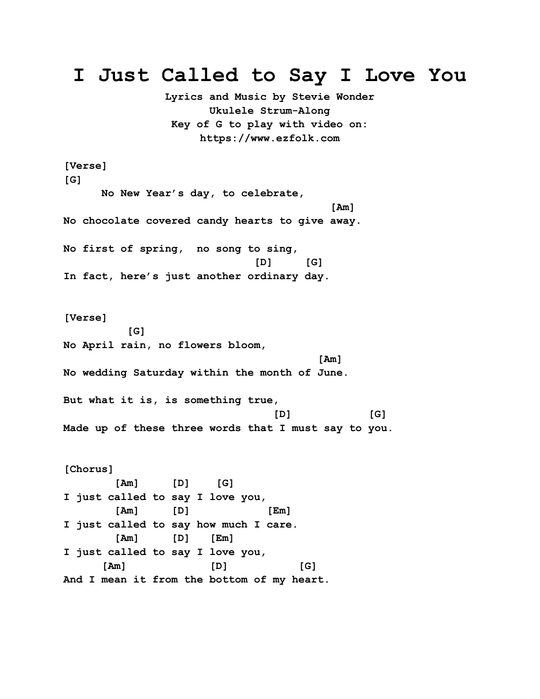## **I Just Called to Say I Love You**

**Lyrics and Music by Stevie Wonder Ukulele Strum-Along Key of G to play with video on: https://www.ezfolk.com**

**[Verse] [G] No New Year's day, to celebrate, [Am] No chocolate covered candy hearts to give away. No first of spring, no song to sing, [D] [G] In fact, here's just another ordinary day. [Verse] [G] No April rain, no flowers bloom, [Am] No wedding Saturday within the month of June. But what it is, is something true, [D] [G] Made up of these three words that I must say to you. [Chorus] [Am] [D] [G] I just called to say I love you, [Am] [D] [Em] I just called to say how much I care.**

**[Am] [D] [Em]**

**I just called to say I love you, [Am] [D] [G] And I mean it from the bottom of my heart.**